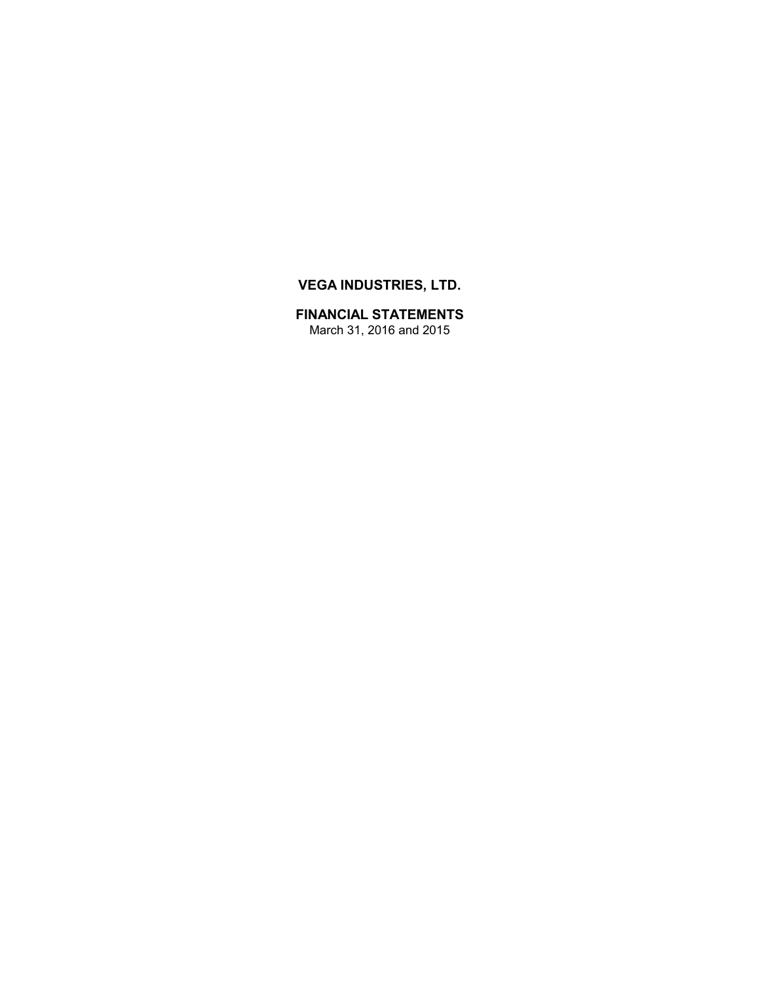# **VEGA INDUSTRIES, LTD.**

**FINANCIAL STATEMENTS** March 31, 2016 and 2015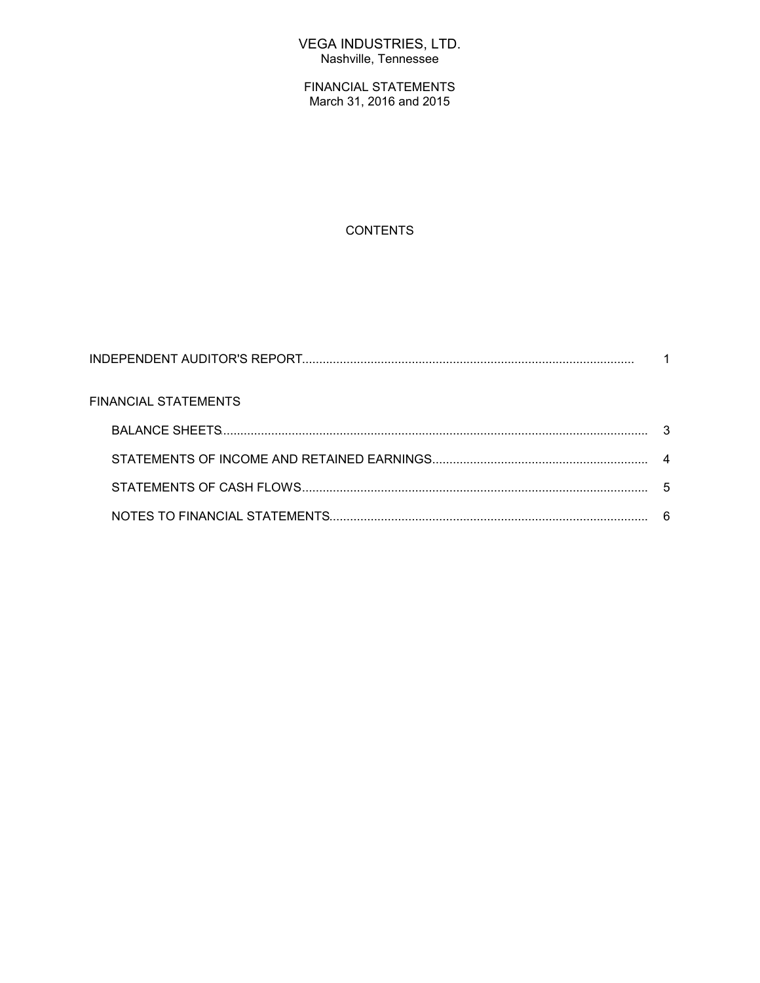## VEGA INDUSTRIES, LTD. Nashville, Tennessee

FINANCIAL STATEMENTS March 31, 2016 and 2015

## **CONTENTS**

| <b>FINANCIAL STATEMENTS</b> |  |
|-----------------------------|--|
|                             |  |
|                             |  |
|                             |  |
|                             |  |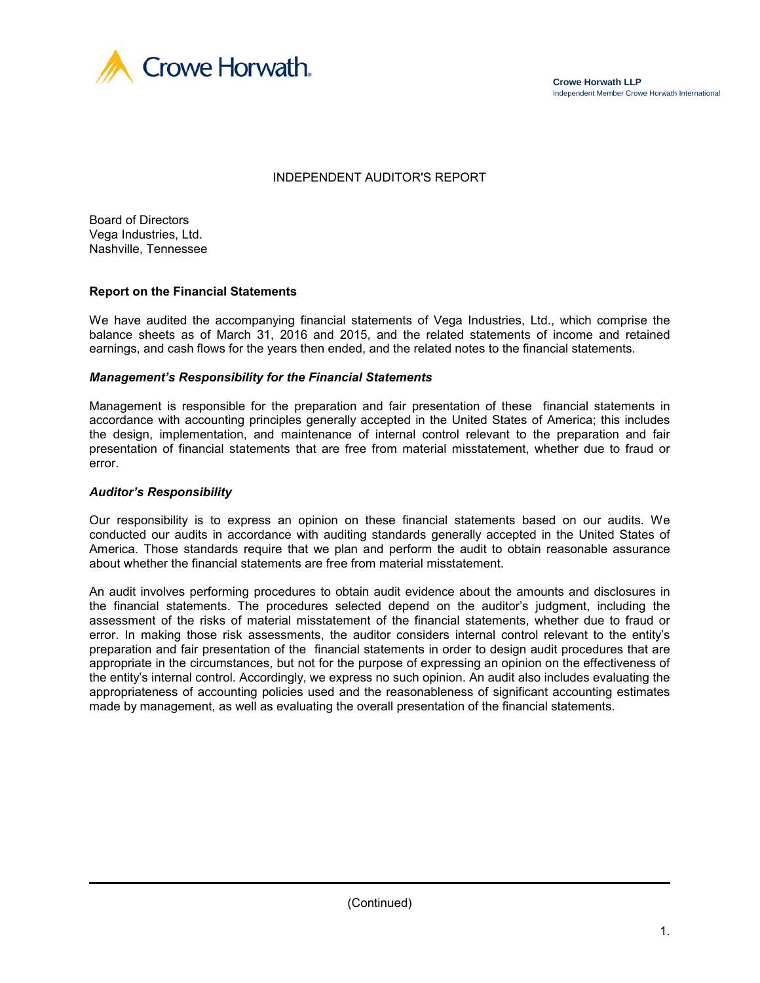

## INDEPENDENT AUDITOR'S REPORT

Board of Directors Vega Industries, Ltd. Nashville, Tennessee

#### **Report on the Financial Statements**

We have audited the accompanying financial statements of Vega Industries, Ltd., which comprise the balance sheets as of March 31, 2016 and 2015, and the related statements of income and retained earnings, and cash flows for the years then ended, and the related notes to the financial statements.

#### *Management's Responsibility for the Financial Statements*

Management is responsible for the preparation and fair presentation of these financial statements in accordance with accounting principles generally accepted in the United States of America; this includes the design, implementation, and maintenance of internal control relevant to the preparation and fair presentation of financial statements that are free from material misstatement, whether due to fraud or error.

#### *Auditor's Responsibility*

Our responsibility is to express an opinion on these financial statements based on our audits. We conducted our audits in accordance with auditing standards generally accepted in the United States of America. Those standards require that we plan and perform the audit to obtain reasonable assurance about whether the financial statements are free from material misstatement.

An audit involves performing procedures to obtain audit evidence about the amounts and disclosures in the financial statements. The procedures selected depend on the auditor's judgment, including the assessment of the risks of material misstatement of the financial statements, whether due to fraud or error. In making those risk assessments, the auditor considers internal control relevant to the entity's preparation and fair presentation of the financial statements in order to design audit procedures that are appropriate in the circumstances, but not for the purpose of expressing an opinion on the effectiveness of the entity's internal control. Accordingly, we express no such opinion. An audit also includes evaluating the appropriateness of accounting policies used and the reasonableness of significant accounting estimates made by management, as well as evaluating the overall presentation of the financial statements.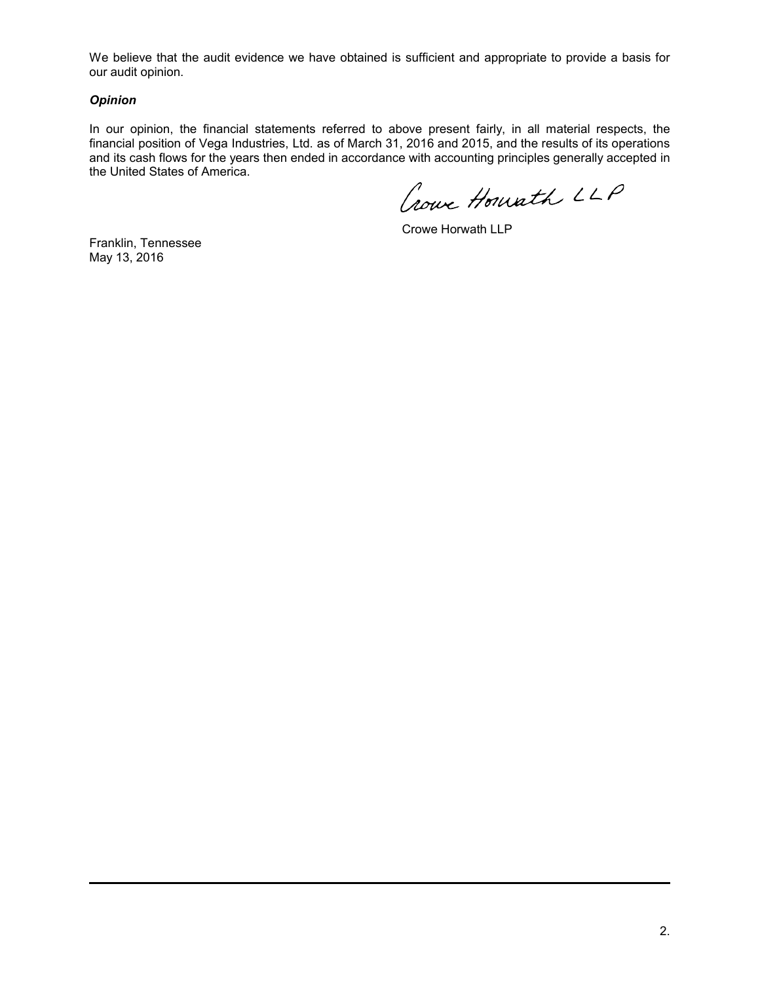We believe that the audit evidence we have obtained is sufficient and appropriate to provide a basis for our audit opinion.

#### *Opinion*

In our opinion, the financial statements referred to above present fairly, in all material respects, the financial position of Vega Industries, Ltd. as of March 31, 2016 and 2015, and the results of its operations and its cash flows for the years then ended in accordance with accounting principles generally accepted in the United States of America.

Crowe Homath LLP

Crowe Horwath LLP

Franklin, Tennessee May 13, 2016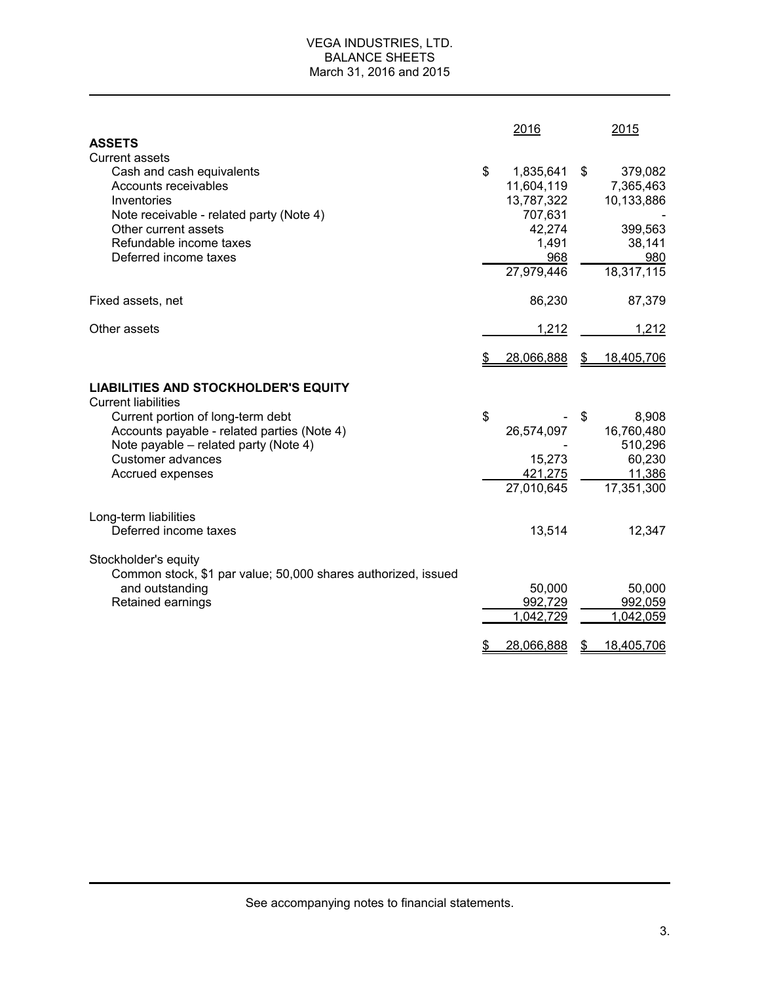## VEGA INDUSTRIES, LTD. BALANCE SHEETS March 31, 2016 and 2015

|                                                                                                                                                                                                                                                        | 2016                                                                                           |    | 2015                                                                         |
|--------------------------------------------------------------------------------------------------------------------------------------------------------------------------------------------------------------------------------------------------------|------------------------------------------------------------------------------------------------|----|------------------------------------------------------------------------------|
| <b>ASSETS</b>                                                                                                                                                                                                                                          |                                                                                                |    |                                                                              |
| <b>Current assets</b><br>Cash and cash equivalents<br>Accounts receivables<br>Inventories<br>Note receivable - related party (Note 4)<br>Other current assets<br>Refundable income taxes<br>Deferred income taxes                                      | \$<br>1,835,641<br>11,604,119<br>13,787,322<br>707,631<br>42,274<br>1,491<br>968<br>27,979,446 | \$ | 379,082<br>7,365,463<br>10,133,886<br>399,563<br>38,141<br>980<br>18,317,115 |
| Fixed assets, net                                                                                                                                                                                                                                      | 86,230                                                                                         |    | 87,379                                                                       |
| Other assets                                                                                                                                                                                                                                           | 1,212                                                                                          |    | 1,212                                                                        |
|                                                                                                                                                                                                                                                        | 28,066,888                                                                                     | S  | 18,405,706                                                                   |
| <b>LIABILITIES AND STOCKHOLDER'S EQUITY</b><br><b>Current liabilities</b><br>Current portion of long-term debt<br>Accounts payable - related parties (Note 4)<br>Note payable - related party (Note 4)<br><b>Customer advances</b><br>Accrued expenses | \$<br>26,574,097<br>15,273<br>421,275<br>27,010,645                                            | \$ | 8,908<br>16,760,480<br>510,296<br>60,230<br>11,386<br>17,351,300             |
| Long-term liabilities<br>Deferred income taxes                                                                                                                                                                                                         | 13,514                                                                                         |    | 12,347                                                                       |
| Stockholder's equity<br>Common stock, \$1 par value; 50,000 shares authorized, issued<br>and outstanding<br>Retained earnings                                                                                                                          | \$<br>50,000<br>992,729<br>1,042,729<br>28,066,888                                             | \$ | 50,000<br>992,059<br>1,042,059<br>18,405,706                                 |

See accompanying notes to financial statements.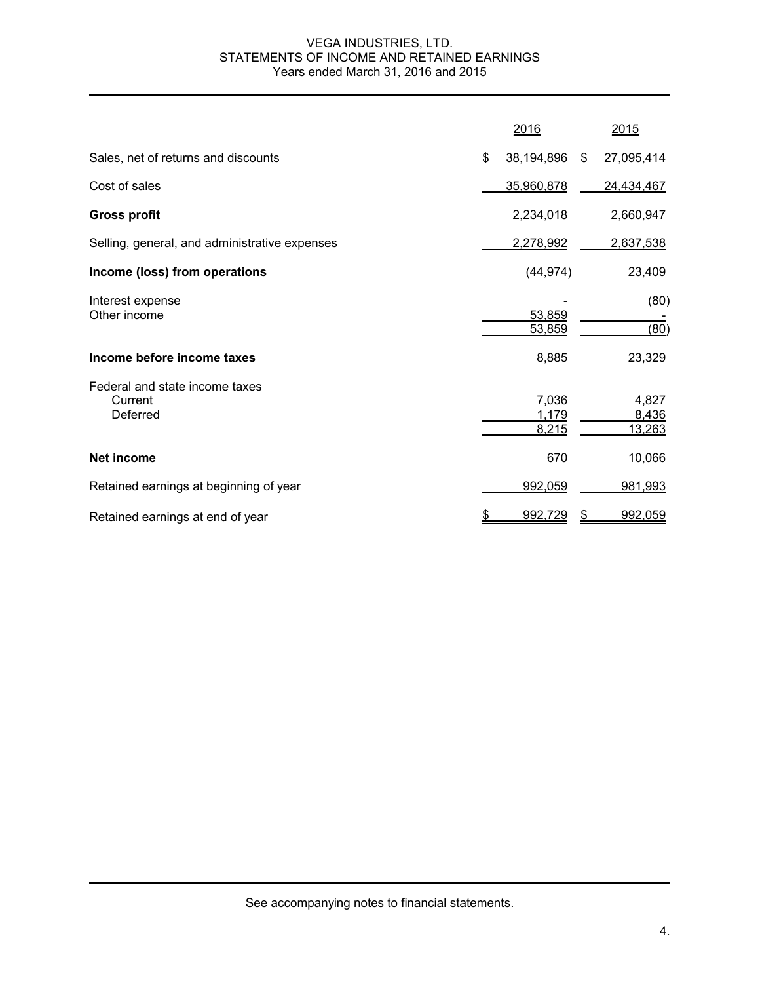## VEGA INDUSTRIES, LTD. STATEMENTS OF INCOME AND RETAINED EARNINGS Years ended March 31, 2016 and 2015

|                                                       | 2016                    |                            | 2015                     |
|-------------------------------------------------------|-------------------------|----------------------------|--------------------------|
| Sales, net of returns and discounts                   | \$<br>38,194,896        | $\boldsymbol{\mathcal{F}}$ | 27,095,414               |
| Cost of sales                                         | 35,960,878              |                            | 24,434,467               |
| <b>Gross profit</b>                                   | 2,234,018               |                            | 2,660,947                |
| Selling, general, and administrative expenses         | 2,278,992               |                            | 2,637,538                |
| Income (loss) from operations                         | (44, 974)               |                            | 23,409                   |
| Interest expense<br>Other income                      | 53,859<br>53,859        |                            | (80)<br>(80)             |
| Income before income taxes                            | 8,885                   |                            | 23,329                   |
| Federal and state income taxes<br>Current<br>Deferred | 7,036<br>1,179<br>8,215 |                            | 4,827<br>8,436<br>13,263 |
| Net income                                            | 670                     |                            | 10,066                   |
| Retained earnings at beginning of year                | 992,059                 |                            | 981,993                  |
| Retained earnings at end of year                      | \$<br>992,729           | \$                         | 992,059                  |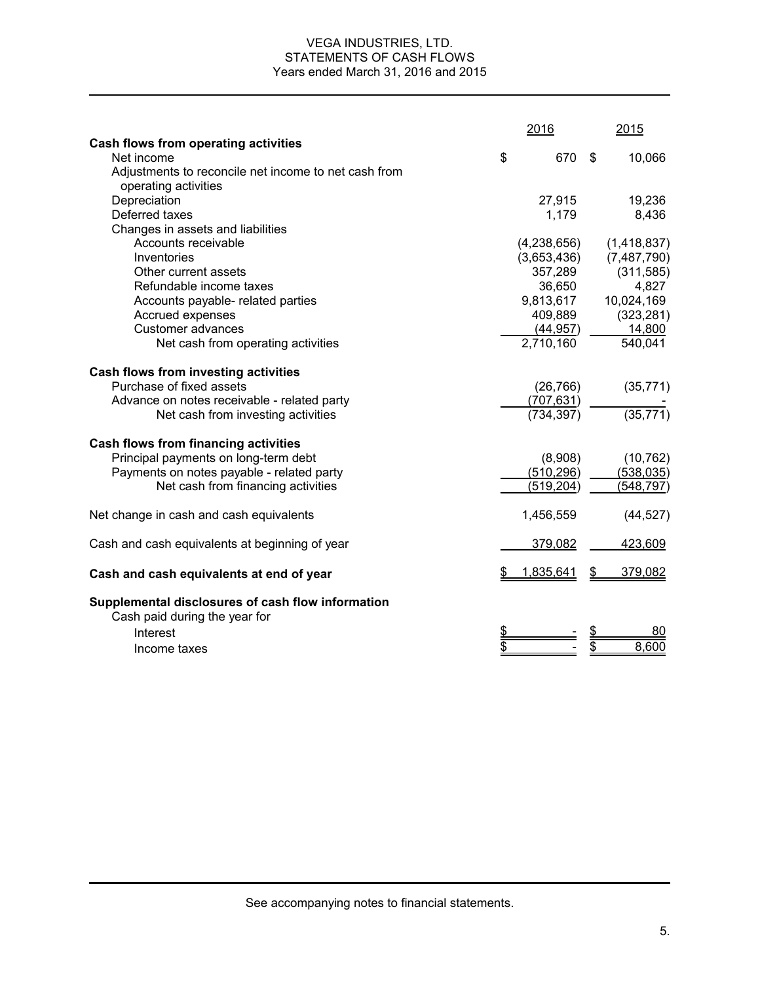#### VEGA INDUSTRIES, LTD. STATEMENTS OF CASH FLOWS Years ended March 31, 2016 and 2015

|                                                                                    | 2016        | 2015         |
|------------------------------------------------------------------------------------|-------------|--------------|
| Cash flows from operating activities                                               |             |              |
| Net income                                                                         | \$<br>670   | \$<br>10,066 |
| Adjustments to reconcile net income to net cash from                               |             |              |
| operating activities                                                               |             |              |
| Depreciation                                                                       | 27,915      | 19,236       |
| Deferred taxes                                                                     | 1,179       | 8,436        |
| Changes in assets and liabilities                                                  |             |              |
| Accounts receivable                                                                | (4,238,656) | (1,418,837)  |
| Inventories                                                                        | (3,653,436) | (7,487,790)  |
| Other current assets                                                               | 357,289     | (311, 585)   |
| Refundable income taxes                                                            | 36,650      | 4,827        |
| Accounts payable- related parties                                                  | 9,813,617   | 10,024,169   |
| Accrued expenses                                                                   | 409,889     | (323, 281)   |
| <b>Customer advances</b>                                                           | (44, 957)   | 14,800       |
| Net cash from operating activities                                                 | 2,710,160   | 540,041      |
| Cash flows from investing activities                                               |             |              |
| Purchase of fixed assets                                                           | (26, 766)   | (35, 771)    |
| Advance on notes receivable - related party                                        | (707, 631)  |              |
| Net cash from investing activities                                                 | (734, 397)  | (35, 771)    |
| Cash flows from financing activities                                               |             |              |
| Principal payments on long-term debt                                               | (8,908)     | (10, 762)    |
| Payments on notes payable - related party                                          | (510, 296)  | (538, 035)   |
| Net cash from financing activities                                                 | (519, 204)  | (548, 797)   |
| Net change in cash and cash equivalents                                            | 1,456,559   | (44, 527)    |
| Cash and cash equivalents at beginning of year                                     | 379,082     | 423,609      |
| Cash and cash equivalents at end of year                                           | 1,835,641   | 379,082      |
| Supplemental disclosures of cash flow information<br>Cash paid during the year for |             |              |
| Interest                                                                           |             | 80           |
|                                                                                    |             | \$<br>8,600  |
| Income taxes                                                                       |             |              |

See accompanying notes to financial statements.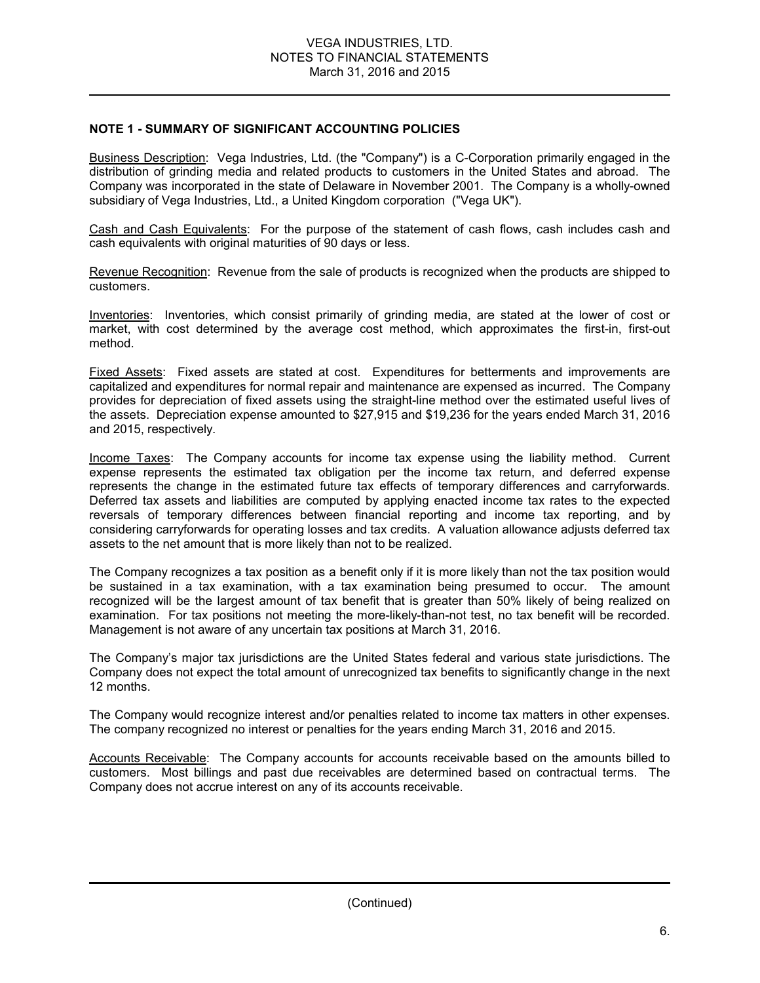## **NOTE 1 - SUMMARY OF SIGNIFICANT ACCOUNTING POLICIES**

Business Description: Vega Industries, Ltd. (the "Company") is a C-Corporation primarily engaged in the distribution of grinding media and related products to customers in the United States and abroad. The Company was incorporated in the state of Delaware in November 2001. The Company is a wholly-owned subsidiary of Vega Industries, Ltd., a United Kingdom corporation ("Vega UK").

Cash and Cash Equivalents: For the purpose of the statement of cash flows, cash includes cash and cash equivalents with original maturities of 90 days or less.

Revenue Recognition: Revenue from the sale of products is recognized when the products are shipped to customers.

Inventories: Inventories, which consist primarily of grinding media, are stated at the lower of cost or market, with cost determined by the average cost method, which approximates the first-in, first-out method.

Fixed Assets: Fixed assets are stated at cost. Expenditures for betterments and improvements are capitalized and expenditures for normal repair and maintenance are expensed as incurred. The Company provides for depreciation of fixed assets using the straight-line method over the estimated useful lives of the assets. Depreciation expense amounted to \$27,915 and \$19,236 for the years ended March 31, 2016 and 2015, respectively.

Income Taxes: The Company accounts for income tax expense using the liability method. Current expense represents the estimated tax obligation per the income tax return, and deferred expense represents the change in the estimated future tax effects of temporary differences and carryforwards. Deferred tax assets and liabilities are computed by applying enacted income tax rates to the expected reversals of temporary differences between financial reporting and income tax reporting, and by considering carryforwards for operating losses and tax credits. A valuation allowance adjusts deferred tax assets to the net amount that is more likely than not to be realized.

The Company recognizes a tax position as a benefit only if it is more likely than not the tax position would be sustained in a tax examination, with a tax examination being presumed to occur. The amount recognized will be the largest amount of tax benefit that is greater than 50% likely of being realized on examination. For tax positions not meeting the more-likely-than-not test, no tax benefit will be recorded. Management is not aware of any uncertain tax positions at March 31, 2016.

The Company's major tax jurisdictions are the United States federal and various state jurisdictions. The Company does not expect the total amount of unrecognized tax benefits to significantly change in the next 12 months.

The Company would recognize interest and/or penalties related to income tax matters in other expenses. The company recognized no interest or penalties for the years ending March 31, 2016 and 2015.

Accounts Receivable: The Company accounts for accounts receivable based on the amounts billed to customers. Most billings and past due receivables are determined based on contractual terms. The Company does not accrue interest on any of its accounts receivable.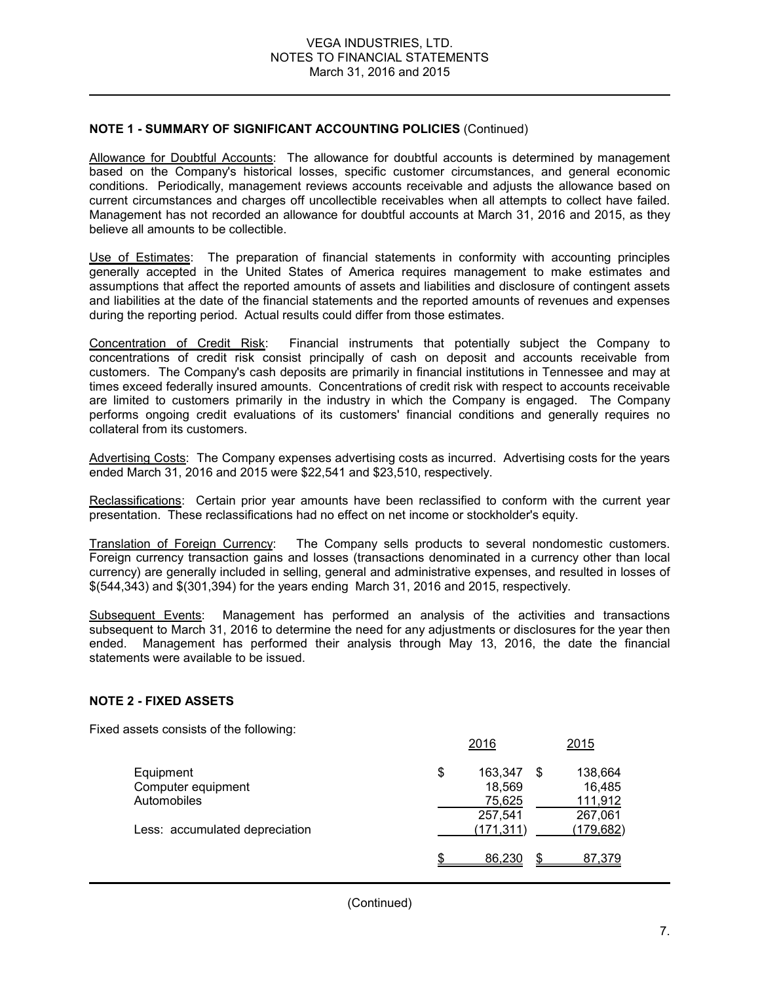## **NOTE 1 - SUMMARY OF SIGNIFICANT ACCOUNTING POLICIES** (Continued)

Allowance for Doubtful Accounts: The allowance for doubtful accounts is determined by management based on the Company's historical losses, specific customer circumstances, and general economic conditions. Periodically, management reviews accounts receivable and adjusts the allowance based on current circumstances and charges off uncollectible receivables when all attempts to collect have failed. Management has not recorded an allowance for doubtful accounts at March 31, 2016 and 2015, as they believe all amounts to be collectible.

Use of Estimates: The preparation of financial statements in conformity with accounting principles generally accepted in the United States of America requires management to make estimates and assumptions that affect the reported amounts of assets and liabilities and disclosure of contingent assets and liabilities at the date of the financial statements and the reported amounts of revenues and expenses during the reporting period. Actual results could differ from those estimates.

Concentration of Credit Risk: Financial instruments that potentially subject the Company to concentrations of credit risk consist principally of cash on deposit and accounts receivable from customers. The Company's cash deposits are primarily in financial institutions in Tennessee and may at times exceed federally insured amounts. Concentrations of credit risk with respect to accounts receivable are limited to customers primarily in the industry in which the Company is engaged. The Company performs ongoing credit evaluations of its customers' financial conditions and generally requires no collateral from its customers.

Advertising Costs: The Company expenses advertising costs as incurred. Advertising costs for the years ended March 31, 2016 and 2015 were \$22,541 and \$23,510, respectively.

Reclassifications: Certain prior year amounts have been reclassified to conform with the current year presentation. These reclassifications had no effect on net income or stockholder's equity.

**Translation of Foreign Currency:** The Company sells products to several nondomestic customers. Foreign currency transaction gains and losses (transactions denominated in a currency other than local currency) are generally included in selling, general and administrative expenses, and resulted in losses of \$(544,343) and \$(301,394) for the years ending March 31, 2016 and 2015, respectively.

Subsequent Events: Management has performed an analysis of the activities and transactions subsequent to March 31, 2016 to determine the need for any adjustments or disclosures for the year then ended. Management has performed their analysis through May 13, 2016, the date the financial statements were available to be issued.

#### **NOTE 2 - FIXED ASSETS**

Fixed assets consists of the following:

|                                | 2016          |   | 2015          |
|--------------------------------|---------------|---|---------------|
| Equipment                      | \$<br>163.347 | S | 138,664       |
| Computer equipment             | 18,569        |   | 16,485        |
| Automobiles                    | 75,625        |   | 111,912       |
|                                | 257,541       |   | 267,061       |
| Less: accumulated depreciation | (171, 311)    |   | (179, 682)    |
|                                | 86,230        |   | <u>87,379</u> |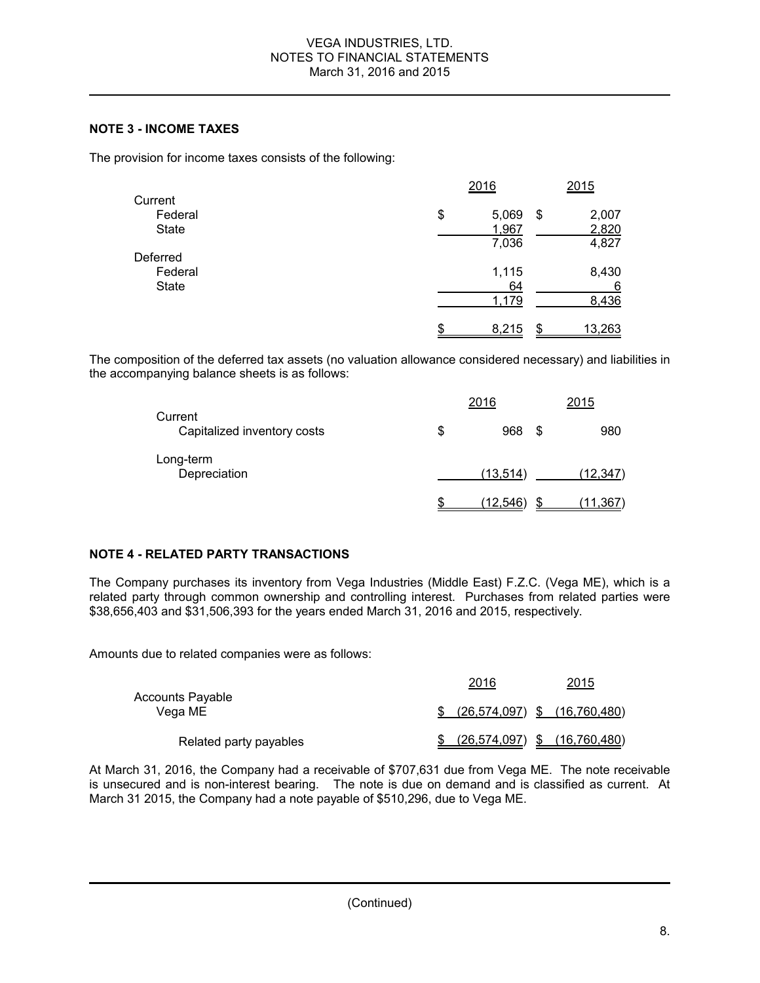## **NOTE 3 - INCOME TAXES**

The provision for income taxes consists of the following:

|              | 2016              | 2015   |
|--------------|-------------------|--------|
| Current      |                   |        |
| Federal      | \$<br>5,069<br>\$ | 2,007  |
| <b>State</b> | 1,967             | 2,820  |
|              | 7,036             | 4,827  |
| Deferred     |                   |        |
| Federal      | 1,115             | 8,430  |
| <b>State</b> | 64                | 6      |
|              | 1,179             | 8,436  |
|              | \$<br>S           |        |
|              | 8,215             | 13,263 |

The composition of the deferred tax assets (no valuation allowance considered necessary) and liabilities in the accompanying balance sheets is as follows:

|                                        | 2016 |                 | 2015      |  |
|----------------------------------------|------|-----------------|-----------|--|
| Current<br>Capitalized inventory costs | \$   | 968<br>S        | 980       |  |
| Long-term<br>Depreciation              |      | (13, 514)       | (12, 347) |  |
|                                        |      | <u> 12,546)</u> | (11,367)  |  |

## **NOTE 4 - RELATED PARTY TRANSACTIONS**

The Company purchases its inventory from Vega Industries (Middle East) F.Z.C. (Vega ME), which is a related party through common ownership and controlling interest. Purchases from related parties were \$38,656,403 and \$31,506,393 for the years ended March 31, 2016 and 2015, respectively.

Amounts due to related companies were as follows:

|                             | 2016                                 | 2015                                |
|-----------------------------|--------------------------------------|-------------------------------------|
| Accounts Payable<br>Vega ME | $(26, 574, 097)$ \$ $(16, 760, 480)$ |                                     |
| Related party payables      |                                      | <u>(26,574,097) \$ (16,760,480)</u> |

At March 31, 2016, the Company had a receivable of \$707,631 due from Vega ME. The note receivable is unsecured and is non-interest bearing. The note is due on demand and is classified as current. At March 31 2015, the Company had a note payable of \$510,296, due to Vega ME.